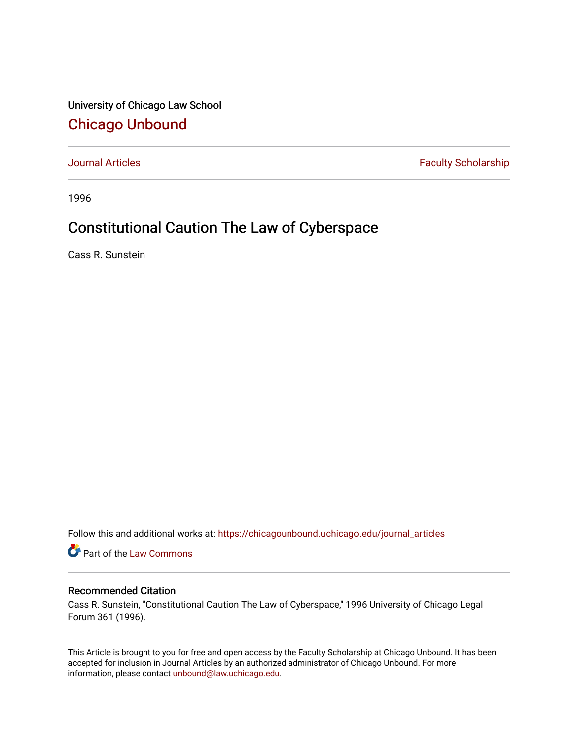University of Chicago Law School [Chicago Unbound](https://chicagounbound.uchicago.edu/)

[Journal Articles](https://chicagounbound.uchicago.edu/journal_articles) **Faculty Scholarship Faculty Scholarship** 

1996

# Constitutional Caution The Law of Cyberspace

Cass R. Sunstein

Follow this and additional works at: [https://chicagounbound.uchicago.edu/journal\\_articles](https://chicagounbound.uchicago.edu/journal_articles?utm_source=chicagounbound.uchicago.edu%2Fjournal_articles%2F8334&utm_medium=PDF&utm_campaign=PDFCoverPages) 

Part of the [Law Commons](http://network.bepress.com/hgg/discipline/578?utm_source=chicagounbound.uchicago.edu%2Fjournal_articles%2F8334&utm_medium=PDF&utm_campaign=PDFCoverPages)

## Recommended Citation

Cass R. Sunstein, "Constitutional Caution The Law of Cyberspace," 1996 University of Chicago Legal Forum 361 (1996).

This Article is brought to you for free and open access by the Faculty Scholarship at Chicago Unbound. It has been accepted for inclusion in Journal Articles by an authorized administrator of Chicago Unbound. For more information, please contact [unbound@law.uchicago.edu](mailto:unbound@law.uchicago.edu).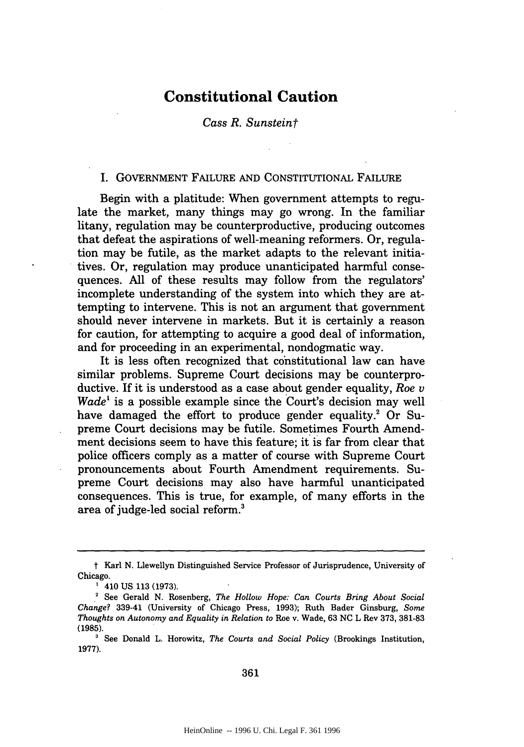# **Constitutional Caution**

#### *Cass R. Sunsteint*

#### I. GOVERNMENT FAILURE AND CONSTITUTIONAL FALURE

Begin with a platitude: When government attempts to regulate the market, many things may go wrong. In the familiar litany, regulation may be counterproductive, producing outcomes that defeat the aspirations of well-meaning reformers. Or, regulation may be futile, as the market adapts to the relevant initiatives. Or, regulation may produce unanticipated harmful consequences. All of these results may follow from the regulators' incomplete understanding of the system into which they are attempting to intervene. This is not an argument that government should never intervene in markets. But it is certainly a reason for caution, for attempting to acquire a good deal of information, and for proceeding in an experimental, nondogmatic way.

It is less often recognized that constitutional law can have similar problems. Supreme Court decisions may be counterproductive. If it is understood as a case about gender equality, *Roe v Wade'* is a possible example since the Court's decision may well have damaged the effort to produce gender equality.<sup>2</sup> Or Supreme Court decisions may be futile. Sometimes Fourth Amendment decisions seem to have this feature; it is far from clear that police officers comply as a matter of course with Supreme Court pronouncements about Fourth Amendment requirements. Supreme Court decisions may also have harmful unanticipated consequences. This is true, for example, of many efforts in the area of judge-led social reform.'

t Karl N. Llewellyn Distinguished Service Professor of Jurisprudence, University of Chicago.

<sup>&</sup>lt;sup>1</sup> 410 US 113 (1973).

**<sup>2</sup>** See Gerald N. Rosenberg, *The Hollow Hope: Can Courts Bring About Social Change?* 339-41 (University of Chicago Press, 1993); Ruth Bader Ginsburg, *Some Thoughts on Autonomy and Equality in Relation to* Roe v. Wade, 63 NC L Rev 373, 381-83 (1985).

**<sup>&#</sup>x27;** See Donald L. Horowitz, *The Courts and Social Policy* (Brookings Institution, 1977).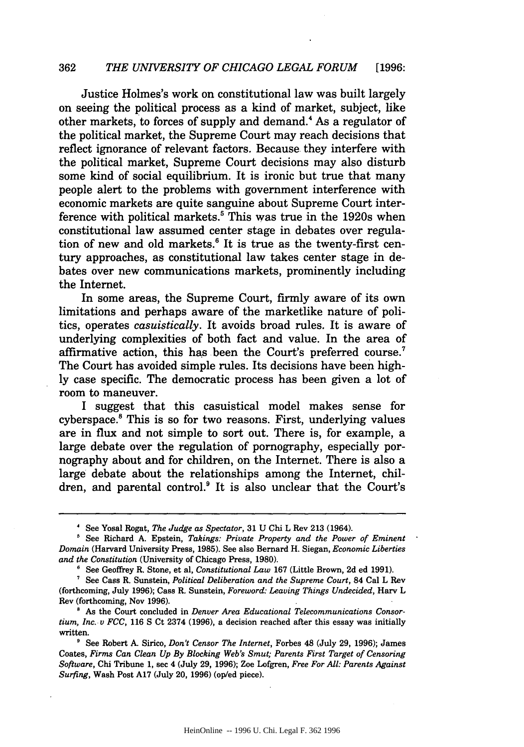#### 362 *THE UNIVERSITY OF CHICAGO LEGAL FORUM* [1996:

Justice Holmes's work on constitutional law was built largely on seeing the political process as a kind of market, subject, like other markets, to forces of supply and demand." As a regulator of the political market, the Supreme Court may reach decisions that reflect ignorance of relevant factors. Because they interfere with the political market, Supreme Court decisions may also disturb some kind of social equilibrium. It is ironic but true that many people alert to the problems with government interference with economic markets are quite sanguine about Supreme Court interference with political markets.' This was true in the 1920s when constitutional law assumed center stage in debates over regulation of new and old markets.<sup>6</sup> It is true as the twenty-first century approaches, as constitutional law takes center stage in debates over new communications markets, prominently including the Internet.

In some areas, the Supreme Court, firmly aware of its own limitations and perhaps aware of the marketlike nature of politics, operates *casuistically.* It avoids broad rules. It is aware of underlying complexities of both fact and value. In the area of affirmative action, this has been the Court's preferred course.<sup>7</sup> The Court has avoided simple rules. Its decisions have been highly case specific. The democratic process has been given a lot of room to maneuver.

I suggest that this casuistical model makes sense for cyberspace.' This is so for two reasons. First, underlying values are in flux and not simple to sort out. There is, for example, a large debate over the regulation of pornography, especially pornography about and for children, on the Internet. There is also a large debate about the relationships among the Internet, children, and parental control.<sup>9</sup> It is also unclear that the Court's

6 See Geoffrey R. Stone, et al, *Constitutional Law* 167 (Little Brown, 2d ed 1991).

See Robert A. Sirico, *Don't Censor The Internet,* Forbes 48 (July 29, 1996); James Coates, *Firms Can Clean Up By Blocking Web's Smut; Parents First Target of Censoring Software,* Chi Tribune 1, sec 4 (July 29, 1996); Zoe Lofgren, *Free For All: Parents Against Surfing,* Wash Post A17 (July 20, 1996) (op/ed piece).

See Yosal Rogat, *The Judge as Spectator,* 31 U Chi L Rev 213 (1964).

See Richard **A.** Epstein, *Takings: Private Property and the Power of Eminent Domain* (Harvard University Press, 1985). See also Bernard H. Siegan, *Economic Liberties and the Constitution* (University of Chicago Press, 1980).

See Cass R. Sunstein, *Political Deliberation and the Supreme Court,* 84 Cal L Rev (forthcoming, July 1996); Cass R. Sunstein, *Foreword: Leaving Things Undecided,* Harv L Rev (forthcoming, Nov 1996).

**<sup>&#</sup>x27;** As the Court concluded in *Denver Area Educational Telecommunications Consortium, Inc. v FCC,* 116 **S** Ct 2374 (1996), a decision reached after this essay was initially written.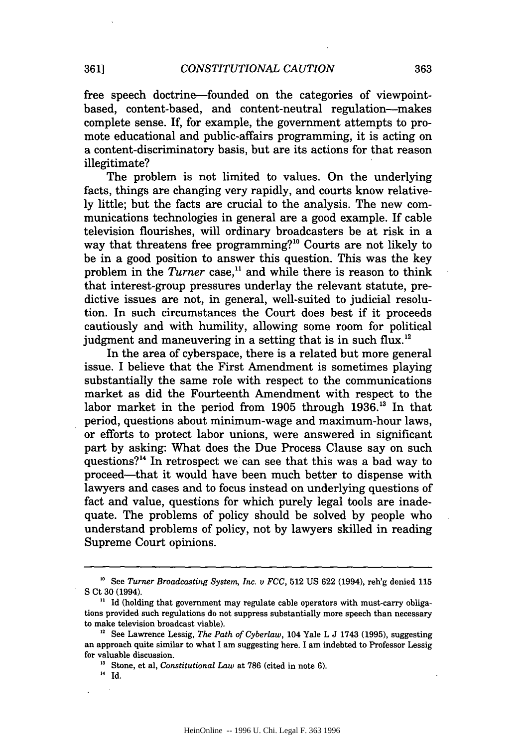free speech doctrine-founded on the categories of viewpointbased, content-based, and content-neutral regulation-makes complete sense. If, for example, the government attempts to promote educational and public-affairs programming, it is acting on a content-discriminatory basis, but are its actions for that reason illegitimate?

The problem is not limited to values. On the underlying facts, things are changing very rapidly, and courts know relatively little; but the facts are crucial to the analysis. The new communications technologies in general are a good example. If cable television flourishes, will ordinary broadcasters be at risk in a way that threatens free programming?<sup>10</sup> Courts are not likely to be in a good position to answer this question. This was the key problem in the *Turner* case,<sup>11</sup> and while there is reason to think that interest-group pressures underlay the relevant statute, predictive issues are not, in general, well-suited to judicial resolution. In such circumstances the Court does best if it proceeds cautiously and with humility, allowing some room for political judgment and maneuvering in a setting that is in such flux. $12$ 

In the area of cyberspace, there is a related but more general issue. I believe that the First Amendment is sometimes playing substantially the same role with respect to the communications market as did the Fourteenth Amendment with respect to the labor market in the period from 1905 through 1936.<sup>13</sup> In that period, questions about minimum-wage and maximum-hour laws, or efforts to protect labor unions, were answered in significant part by asking: What does the Due Process Clause say on such questions?<sup>14</sup> In retrospect we can see that this was a bad way to proceed-that it would have been much better to dispense with lawyers and cases and to focus instead on underlying questions of fact and value, questions for which purely legal tools are inadequate. The problems of policy should be solved by people who understand problems of policy, not by lawyers skilled in reading Supreme Court opinions.

<sup>&</sup>lt;sup>10</sup> See *Turner Broadcasting System, Inc. v FCC*, 512 US 622 (1994), reh'g denied 115 S Ct 30 (1994).

**<sup>&</sup>quot;** Id (holding that government may regulate cable operators with must-carry obligations provided such regulations do not suppress substantially more speech than necessary to make television broadcast viable).

<sup>&</sup>lt;sup>12</sup> See Lawrence Lessig, *The Path of Cyberlaw*, 104 Yale L J 1743 (1995), suggesting an approach quite similar to what I am suggesting here. I am indebted to Professor Lessig for valuable discussion.

**<sup>&</sup>quot;** Stone, et al, *Constitutional Law* at 786 (cited in note 6). **<sup>14</sup>**Id.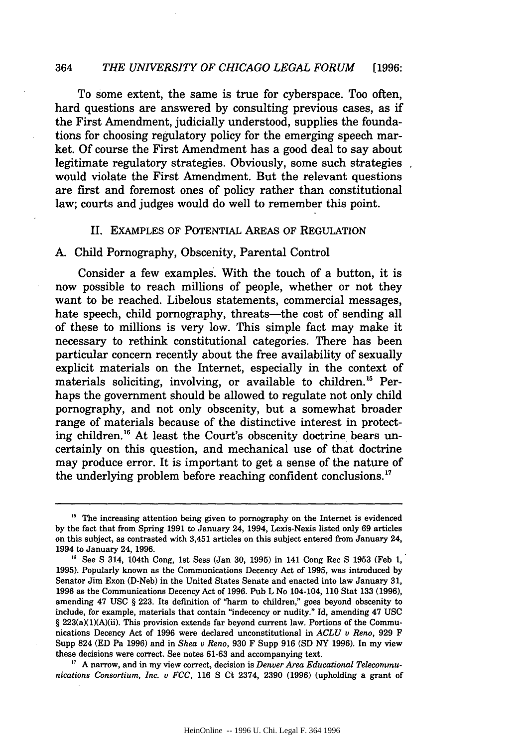#### 364 *THE UNIVERSITY OF CHICAGO LEGAL FORUM* [1996:

To some extent, the same is true for cyberspace. Too often, hard questions are answered by consulting previous cases, as if the First Amendment, judicially understood, supplies the foundations for choosing regulatory policy for the emerging speech market. Of course the First Amendment has a good deal to say about legitimate regulatory strategies. Obviously, some such strategies would violate the First Amendment. But the relevant questions are first and foremost ones of policy rather than constitutional law; courts and judges would do well to remember this point.

### II. EXAMPLES OF POTENTIAL AREAS OF REGULATION

#### A. Child Pornography, Obscenity, Parental Control

Consider a few examples. With the touch of a button, it is now possible to reach millions of people, whether or not they want to be reached. Libelous statements, commercial messages, hate speech, child pornography, threats-the cost of sending all of these to millions is very low. This simple fact may make it necessary to rethink constitutional categories. There has been particular concern recently about the free availability of sexually explicit materials on the Internet, especially in the context of materials soliciting, involving, or available to children."5 Perhaps the government should be allowed to regulate not only child pornography, and not only obscenity, but a somewhat broader range of materials because of the distinctive interest in protecting children.<sup>16</sup> At least the Court's obscenity doctrine bears uncertainly on this question, and mechanical use of that doctrine may produce error. It is important to get a sense of the nature of the underlying problem before reaching confident conclusions.<sup>17</sup>

<sup>&</sup>lt;sup>15</sup> The increasing attention being given to pornography on the Internet is evidenced by the fact that from Spring 1991 to January 24, 1994, Lexis-Nexis listed only 69 articles on this subject, as contrasted with 3,451 articles on this subject entered from January 24, 1994 to January 24, 1996.

<sup>&</sup>lt;sup>16</sup> See S 314, 104th Cong, 1st Sess (Jan 30, 1995) in 141 Cong Rec S 1953 (Feb 1, 1995). Popularly known as the Communications Decency Act of 1995, was introduced by Senator Jim Exon (D-Neb) in the United States Senate and enacted into law January 31, 1996 as the Communications Decency Act of 1996. Pub L No 104-104, 110 Stat 133 (1996), amending 47 **USC** § 223. Its definition of "harm to children," goes beyond obscenity to include, for example, materials that contain "indecency or nudity." **Id,** amending 47 **USC** § 223(a)(1)(A)(ii). This provision extends far beyond current law. Portions of the Communications Decency Act of **1996** were declared unconstitutional in *ACLU v Reno,* **929** F Supp 824 **(ED** Pa **1996)** and in *Shea v Reno,* **930** F Supp **916 (SD** NY **1996).** In my view these decisions were correct. See notes **61-63** and accompanying text.

**<sup>17</sup> A** narrow, and in my view correct, decision is *Denver Area Educational Telecommunications Consortium, Inc. v FCC,* 116 **S Ct** 2374, **2390 (1996)** (upholding a grant of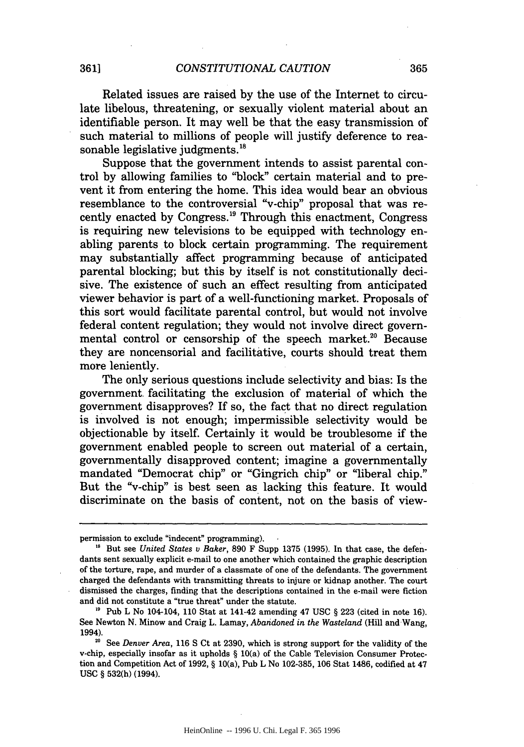Related issues are raised by the use of the Internet to circulate libelous, threatening, or sexually violent material about an identifiable person. It may well be that the easy transmission of such material to millions of people will justify deference to reasonable legislative judgments.<sup>18</sup>

Suppose that the government intends to assist parental control by allowing families to "block" certain material and to prevent it from entering the home. This idea would bear an obvious resemblance to the controversial "v-chip" proposal that was recently enacted by Congress.<sup>19</sup> Through this enactment, Congress is requiring new televisions to be equipped with technology enabling parents to block certain programming. The requirement may substantially affect programming because of anticipated parental blocking; but this by itself is not constitutionally decisive. The existence of such an effect resulting from anticipated viewer behavior is part of a well-functioning market. Proposals of this sort would facilitate parental control, but would not involve federal content regulation; they would not involve direct governmental control or censorship of the speech market.<sup>20</sup> Because they are noncensorial and facilitative, courts should treat them more leniently.

The only serious questions include selectivity and bias: Is the government facilitating the exclusion of material of which the government disapproves? If so, the fact that no direct regulation is involved is not enough; impermissible selectivity would be objectionable by itself. Certainly it would be troublesome if the government enabled people to screen out material of a certain, governmentally disapproved content; imagine a governmentally mandated "Democrat chip" or "Gingrich chip" or "liberal chip." But the "v-chip" is best seen as lacking this feature. It would discriminate on the basis of content, not on the basis of view-

permission to exclude "indecent" programming),

<sup>&</sup>lt;sup>18</sup> But see *United States v Baker*, 890 F Supp 1375 (1995). In that case, the defendants sent sexually explicit e-mail to one another which contained the graphic description of the torture, rape, and murder of a classmate of one of the defendants. The government charged the defendants with transmitting threats to injure or kidnap another. The court dismissed the charges, finding that the descriptions contained in the e-mail were fiction and did not constitute a "true threat" under the statute.

<sup>&</sup>lt;sup>19</sup> Pub L No 104-104, 110 Stat at 141-42 amending 47 USC  $\S$  223 (cited in note 16). See Newton N. Minow and Craig L. Lamay, *Abandoned in the Wasteland* (Hill and Wang, 1994).

<sup>&</sup>lt;sup>20</sup> See *Denver Area*, 116 S Ct at 2390, which is strong support for the validity of the v-chip, especially insofar as it upholds  $\S$  10(a) of the Cable Television Consumer Protection and Competition Act of 1992, § 10(a), Pub L No 102-385, 106 Stat 1486, codified at 47 USC § 532(h) (1994).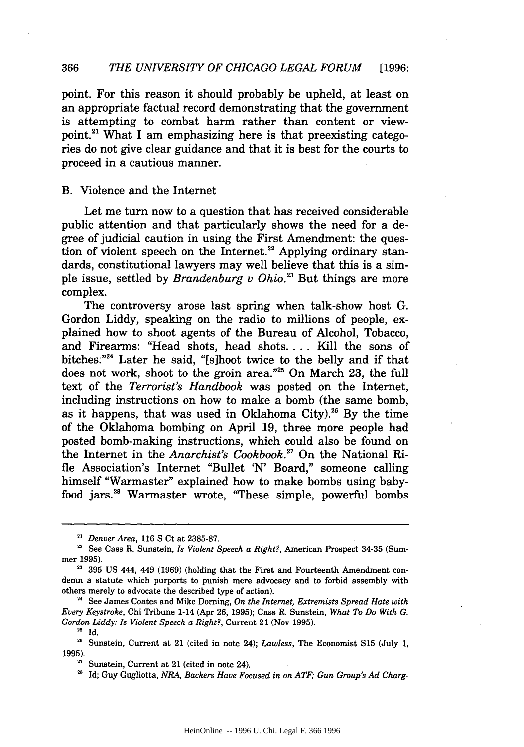point. For this reason it should probably be upheld, at least on an appropriate factual record demonstrating that the government is attempting to combat harm rather than content or viewpoint.<sup>21</sup> What I am emphasizing here is that preexisting categories do not give clear guidance and that it is best for the courts to proceed in a cautious manner.

#### B. Violence and the Internet

Let me turn now to a question that has received considerable public attention and that particularly shows the need for a degree of judicial caution in using the First Amendment: the question of violent speech on the Internet.<sup>22</sup> Applying ordinary standards, constitutional lawyers may well believe that this is a simple issue, settled by *Brandenburg v Ohio.*<sup>23</sup> But things are more complex.

The controversy arose last spring when talk-show host G. Gordon Liddy, speaking on the radio to millions of people, explained how to shoot agents of the Bureau of Alcohol, Tobacco, and Firearms: "Head shots, head shots **....** Kill the sons of bitches."24 Later he said, "[s]hoot twice to the belly and if that does not work, shoot to the groin area."25 On March 23, the full text of the *Terrorist's Handbook* was posted on the Internet, including instructions on how to make a bomb (the same bomb, as it happens, that was used in Oklahoma City). $^{26}$  By the time of the Oklahoma bombing on April 19, three more people had posted bomb-making instructions, which could also be found on the Internet in the *Anarchist's Cookbook.27* On the National Rifle Association's Internet "Bullet 'N' Board," someone calling himself "Warmaster" explained how to make bombs using babyfood jars.28 Warmaster wrote, "These simple, powerful bombs

**<sup>21</sup>***Denver Area,* 116 S Ct at 2385-87.

**<sup>22</sup>** See Cass R. Sunstein, *Is Violent Speech a Right?,* American Prospect 34-35 (Summer 1995).

**<sup>23</sup>** 395 US 444, 449 (1969) (holding that the First and Fourteenth Amendment condemn a statute which purports to punish mere advocacy and to forbid assembly with others merely to advocate the described type of action).

<sup>&</sup>lt;sup>24</sup> See James Coates and Mike Dorning, On the Internet, Extremists Spread Hate with *Every Keystroke,* Chi Tribune 1-14 (Apr 26, 1995); Cass R. Sunstein, *What To Do With G. Gordon Liddy: Is Violent Speech a Right?,* Current 21 (Nov 1995).

**<sup>25</sup>**Id.

<sup>&</sup>lt;sup>26</sup> Sunstein, Current at 21 (cited in note 24); *Lawless*, The Economist S15 (July 1, 1995).

<sup>&</sup>lt;sup>27</sup> Sunstein, Current at 21 (cited in note 24).

<sup>&</sup>lt;sup>28</sup> Id: Guy Gugliotta, *NRA, Backers Have Focused in on ATF*; *Gun Group's Ad Charg-*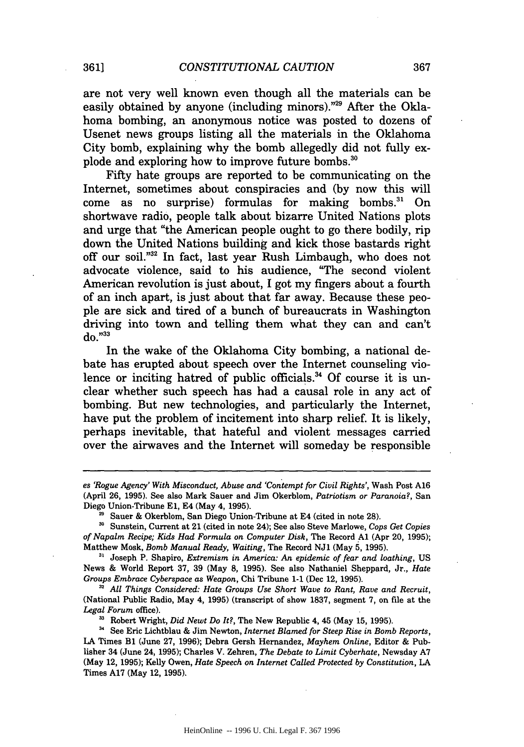are not very well known even though all the materials can be easily obtained by anyone (including minors)."29 After the Oklahoma bombing, an anonymous notice was posted to dozens of Usenet news groups listing all the materials in the Oklahoma City bomb, explaining why the bomb allegedly did not fully explode and exploring how to improve future bombs.<sup>30</sup>

Fifty hate groups are reported to be communicating on the Internet, sometimes about conspiracies and (by now this will come as no surprise) formulas for making bombs.<sup>31</sup> On shortwave radio, people talk about bizarre United Nations plots and urge that "the American people ought to go there bodily, rip down the United Nations building and kick those bastards right off our soil."<sup>32</sup> In fact, last year Rush Limbaugh, who does not advocate violence, said to his audience, "The second violent American revolution is just about, I got my fingers about a fourth of an inch apart, is just about that far away. Because these people are sick and tired of a bunch of bureaucrats in Washington driving into town and telling them what they can and can't  $do.^{"33}$ 

In the wake of the Oklahoma City bombing, a national debate has erupted about speech over the Internet counseling violence or inciting hatred of public officials. $34$  Of course it is unclear whether such speech has had a causal role in any act of bombing. But new technologies, and particularly the Internet, have put the problem of incitement into sharp relief. It is likely, perhaps inevitable, that hateful and violent messages carried over the airwaves and the Internet will someday be responsible

es 'Rogue Agency' With Misconduct, Abuse and 'Contempt for Civil Rights', Wash Post A16 (April 26, 1995). See also Mark Sauer and Jim Okerblom, *Patriotism or Paranoia?,* San Diego Union-Tribune El, E4 (May 4, 1995).

Sauer & Okerblom, San Diego Union-Tribune at E4 (cited in note 28).

<sup>30</sup> Sunstein, Current at 21 (cited in note 24); See also Steve Marlowe, *Cops Get Copies of Napalm Recipe; Kids Had Formula on Computer Disk,* The Record **Al** (Apr 20, 1995); Matthew Mosk, *Bomb Manual Ready, Waiting,* The Record NJ1 (May 5, 1995).

**<sup>&</sup>quot;** Joseph P. Shapiro, *Extremism in America: An epidemic of fear and loathing,* US News & World Report 37, 39 (May 8, 1995). See also Nathaniel Sheppard, Jr., *Hate Groups Embrace Cyberspace as Weapon,* Chi Tribune 1-1 (Dec 12, 1995).

<sup>&</sup>lt;sup>32</sup> All Things Considered: Hate Groups Use Short Wave to Rant, Rave and Recruit, (National Public Radio, May 4, 1995) (transcript of show 1837, segment 7, on file at the *Legal Forum* office).

Robert Wright, *Did Newt Do It?,* The New Republic 4, 45 (May 15, 1995).

See Eric Lichtblau & Jim Newton, *Internet Blamed for Steep Rise in Bomb Reports,* LA Times B1 (June 27, 1996); Debra Gersh Hernandez, *Mayhem Online,* Editor & Publisher 34 (June 24, 1995); Charles V. Zehren, *The Debate to Limit Cyberhate,* Newsday A7 (May 12, 1995); Kelly Owen, *Hate Speech on Internet Called Protected by Constitution, LA* Times A17 (May 12, 1995).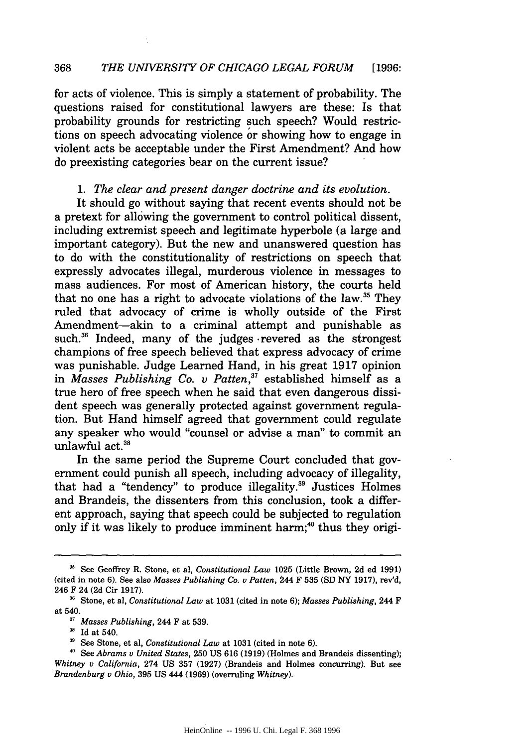for acts of violence. This is simply a statement of probability. The questions raised for constitutional lawyers are these: Is that probability grounds for restricting such speech? Would restrictions on speech advocating violence or showing how to engage in violent acts be acceptable under the First Amendment? And how do preexisting categories bear on the current issue?

#### *1. The clear and present danger doctrine and its evolution.*

It should go without saying that recent events should not be a pretext for allowing the government to control political dissent, including extremist speech and legitimate hyperbole (a large and important category). But the new and unanswered question has to do with the constitutionality of restrictions on speech that expressly advocates illegal, murderous violence in messages to mass audiences. For most of American history, the courts held that no one has a right to advocate violations of the law.<sup>35</sup> They ruled that advocacy of crime is wholly outside of the First Amendment-akin to a criminal attempt and punishable as such. $36$  Indeed, many of the judges revered as the strongest champions of free speech believed that express advocacy of crime was punishable. Judge Learned Hand, in his great 1917 opinion in *Masses Publishing Co. v Patten,37* established himself as a true hero of free speech when he said that even dangerous dissident speech was generally protected against government regulation. But Hand himself agreed that government could regulate any speaker who would "counsel or advise a man" to commit an unlawful act.<sup>38</sup>

In the same period the Supreme Court concluded that government could punish all speech, including advocacy of illegality, that had a "tendency" to produce illegality.39 Justices Holmes and Brandeis, the dissenters from this conclusion, took a different approach, saying that speech could be subjected to regulation only if it was likely to produce imminent harm:<sup>40</sup> thus they origi-

**<sup>&</sup>quot;** See Geoffrey R. Stone, et al, *Constitutional Law* 1025 (Little Brown, 2d ed 1991) (cited in note 6). See also *Masses Publishing Co. v Patten,* 244 F 535 (SD NY 1917), rev'd, 246 F 24 (2d Cir 1917).

**<sup>36</sup>**Stone, et al, *Constitutional Law* at 1031 (cited in note 6); *Masses Publishing,* 244 F at 540.

*<sup>17</sup>Masses Publishing,* 244 F at 539.

<sup>&</sup>lt;sup>38</sup> Id at 540.

**<sup>9</sup>** See Stone, et al, *Constitutional Law* at 1031 (cited in note 6).

**<sup>&#</sup>x27;0** See *Abrams v United States,* 250 US 616 (1919) (Holmes and Brandeis dissenting); *Whitney v California,* 274 US 357 (1927) (Brandeis and Holmes concurring). But see *Brandenburg v Ohio,* 395 US 444 (1969) (overruling *Whitney).*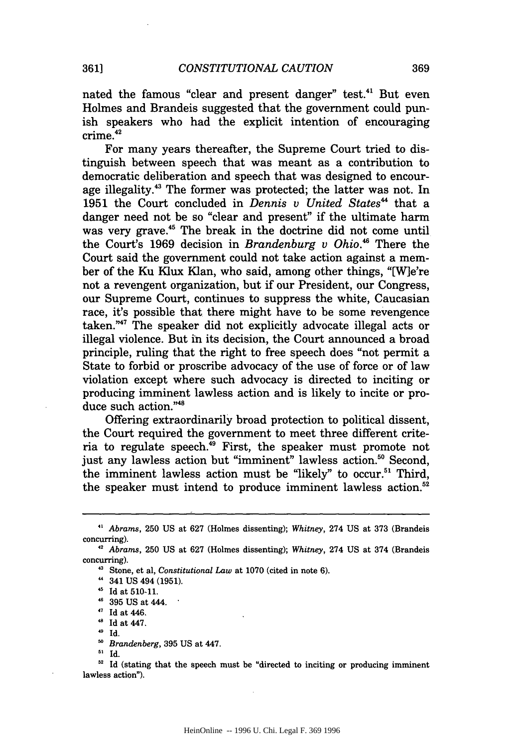nated the famous "clear and present danger" test.<sup>41</sup> But even Holmes and Brandeis suggested that the government could punish speakers who had the explicit intention of encouraging  $cmme<sup>42</sup>$ 

For many years thereafter, the Supreme Court tried to distinguish between speech that was meant as a contribution to democratic deliberation and speech that was designed to encourage illegality.<sup>43</sup> The former was protected; the latter was not. In 1951 the Court concluded in *Dennis v United States"* that a danger need not be so "clear and present" if the ultimate harm was very grave.<sup>45</sup> The break in the doctrine did not come until the Court's 1969 decision in *Brandenburg v Ohio."* There the Court said the government could not take action against a member of the Ku Klux Klan, who said, among other things, "[W]e're not a revengent organization, but if our President, our Congress, our Supreme Court, continues to suppress the white, Caucasian race, it's possible that there might have to be some revengence taken."47 The speaker did not explicitly advocate illegal acts or illegal violence. But in its decision, the Court announced a broad principle, ruling that the right to free speech does "not permit a State to forbid or proscribe advocacy of the use of force or of law violation except where such advocacy is directed to inciting or producing imminent lawless action and is likely to incite or produce such action."<sup>48</sup>

Offering extraordinarily broad protection to political dissent, the Court required the government to meet three different criteria to regulate speech.<sup>49</sup> First, the speaker must promote not just any lawless action but "imminent" lawless action.<sup>50</sup> Second, the imminent lawless action must be "likely" to occur.<sup>51</sup> Third, the speaker must intend to produce imminent lawless action.<sup>52</sup>

*Abrams,* 250 **US** at 627 (Holmes dissenting); *Whitney,* 274 US at 373 (Brandeis concurring). *<sup>42</sup>Abrams,* **250** US at **627** (Holmes dissenting); *Whitney,* 274 US at 374 (Brandeis

concurring). **<sup>41</sup>**Stone, et al, *Constitutional Law* at 1070 (cited in note **6).**

<sup>341</sup> US 494 (1951).

Id at **510-11. <sup>46</sup>395 US** at 444.

<sup>47</sup> **Id** at 446.

**<sup>41</sup>** Id at 447.

**<sup>49</sup> Id.**

**<sup>&#</sup>x27;** *Brandenberg,* **395 US** at 447.

**s' Id.**

**<sup>52</sup>**Id (stating that the speech must be "directed to inciting or producing imminent lawless action").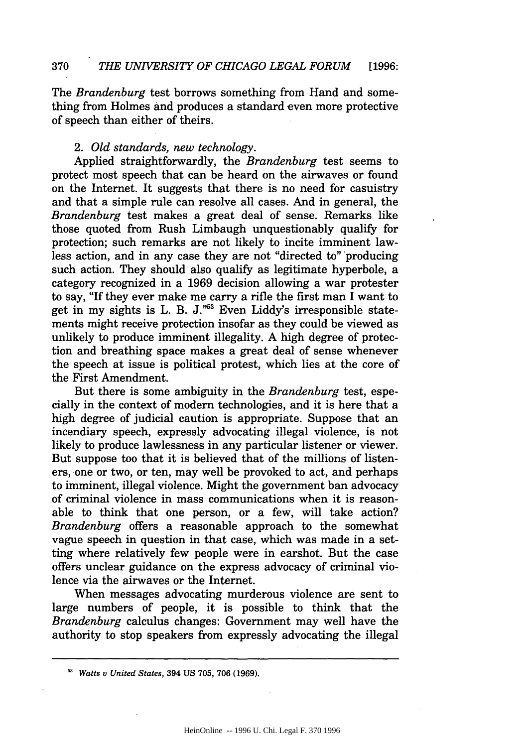The *Brandenburg* test borrows something from Hand and something from Holmes and produces a standard even more protective of speech than either of theirs.

#### 2. *Old standards, new technology.*

Applied straightforwardly, the *Brandenburg* test seems to protect most speech that can be heard on the airwaves or found on the Internet. It suggests that there is no need for casuistry and that a simple rule can resolve all cases. And in general, the *Brandenburg* test makes a great deal of sense. Remarks like those quoted from Rush Limbaugh unquestionably qualify for protection; such remarks are not likely to incite imminent lawless action, and in any case they are not "directed to" producing such action. They should also qualify as legitimate hyperbole, a category recognized in a 1969 decision allowing a war protester to say, "If they ever make me carry a rifle the first man I want to get in my sights is L. B. **J."53** Even Liddy's irresponsible statements might receive protection insofar as they could be viewed as unlikely to produce imminent illegality. A high degree of protection and breathing space makes a great deal of sense whenever the speech at issue is political protest, which lies at the core of the First Amendment.

But there is some ambiguity in the *Brandenburg* test, especially in the context of modern technologies, and it is here that a high degree of judicial caution is appropriate. Suppose that an incendiary speech, expressly advocating illegal violence, is not likely to produce lawlessness in any particular listener or viewer. But suppose too that it is believed that of the millions of listeners, one or two, or ten, may well be provoked to act, and perhaps to imminent, illegal violence. Might the government ban advocacy of criminal violence in mass communications when it is reasonable to think that one person, or a few, will take action? *Brandenburg* offers a reasonable approach to the somewhat vague speech in question in that case, which was made in a setting where relatively few people were in earshot. But the case offers unclear guidance on the express advocacy of criminal violence via the airwaves or the Internet.

When messages advocating murderous violence are sent to large numbers of people, it is possible to think that the *Brandenburg* calculus changes: Government may well have the authority to stop speakers from expressly advocating the illegal

*<sup>5-</sup> Watts v United States,* 394 **US 705, 706 (1969).**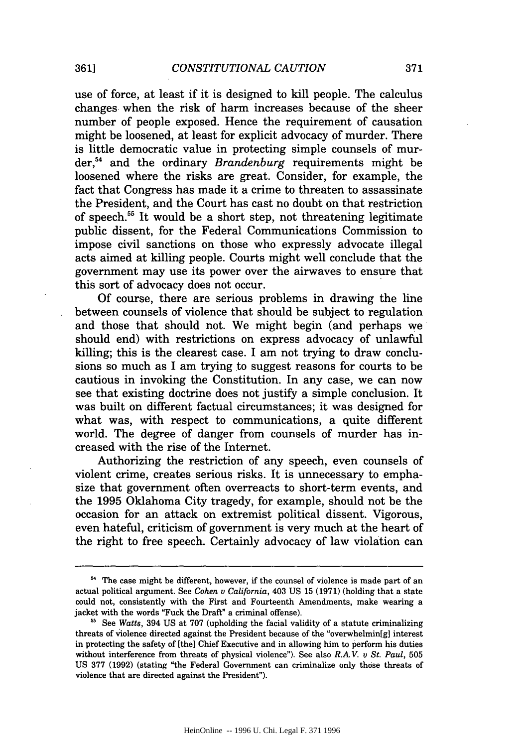use of force, at least if it is designed to kill people. The calculus changes when the risk of harm increases because of the sheer number of people exposed. Hence the requirement of causation might be loosened, at least for explicit advocacy of murder. There is little democratic value in protecting simple counsels of murder, 4 and the ordinary *Brandenburg* requirements might be loosened where the risks are great. Consider, for example, the fact that Congress has made it a crime to threaten to assassinate the President, and the Court has cast no doubt on that restriction of speech.55 It would be a short step, not threatening legitimate public dissent, for the Federal Communications Commission to impose civil sanctions on those who expressly advocate illegal acts aimed at killing people. Courts might well conclude that the government may use its power over the airwaves to ensure that this sort of advocacy does not occur.

Of course, there are serious problems in drawing the line between counsels of violence that should be subject to regulation and those that should not. We might begin (and perhaps we should end) with restrictions on express advocacy of unlawful killing; this is the clearest case. I am not trying to draw conclusions so much as I am trying to suggest reasons for courts to be cautious in invoking the Constitution. In any case, we can now see that existing doctrine does not justify a simple conclusion. It was built on different factual circumstances; it was designed for what was, with respect to communications, a quite different world. The degree of danger from counsels of murder has increased with the rise of the Internet.

Authorizing the restriction of any speech, even counsels of violent crime, creates serious risks. It is unnecessary to emphasize that government often overreacts to short-term events, and the 1995 Oklahoma City tragedy, for example, should not be the occasion for an attack on extremist political dissent. Vigorous, even hateful, criticism of government is very much at the heart of the right to free speech. Certainly advocacy of law violation can

<sup>&</sup>lt;sup>54</sup> The case might be different, however, if the counsel of violence is made part of an actual political argument. See *Cohen v California,* 403 US 15 (1971) (holding that a state could not, consistently with the First and Fourteenth Amendments, make wearing a jacket with the words "Fuck the Draft" a criminal offense).

<sup>&</sup>lt;sup>55</sup> See Watts, 394 US at 707 (upholding the facial validity of a statute criminalizing threats of violence directed against the President because of the "overwhelmin[g] interest in protecting the safety of [the] Chief Executive and in allowing him to perform his duties without interference from threats of physical violence"). See also *R.A. v St. Paul,* 505 US 377 (1992) (stating "the Federal Government can criminalize only those threats of violence that are directed against the President").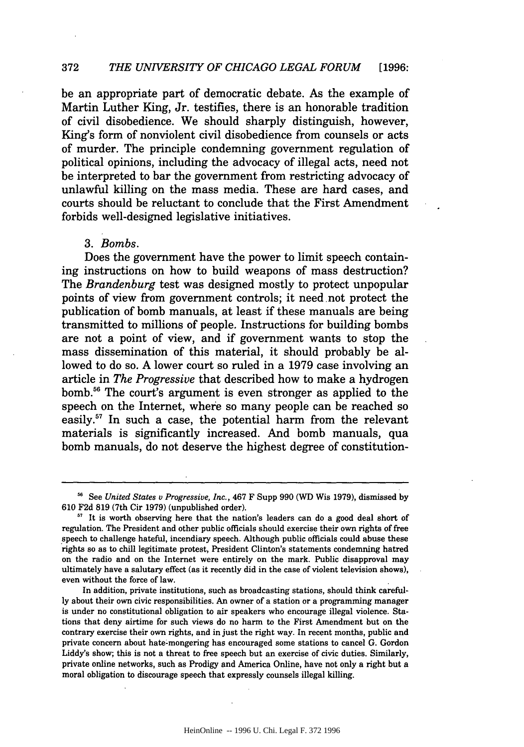be an appropriate part of democratic debate. As the example of Martin Luther King, Jr. testifies, there is an honorable tradition of civil disobedience. We should sharply distinguish, however, King's form of nonviolent civil disobedience from counsels or acts of murder. The principle condemning government regulation of political opinions, including the advocacy of illegal acts, need not be interpreted to bar the government from restricting advocacy of unlawful killing on the mass media. These are hard cases, and courts should be reluctant to conclude that the First Amendment forbids well-designed legislative initiatives.

#### 3. *Bombs.*

Does the government have the power to limit speech containing instructions on how to build weapons of mass destruction? The *Brandenburg* test was designed mostly to protect unpopular points of view from government controls; it need not protect the publication of bomb manuals, at least if these manuals are being transmitted to millions of people. Instructions for building bombs are not a point of view, and if government wants to stop the mass dissemination of this material, it should probably be allowed to do so. A lower court so ruled in a 1979 case involving an article in *The Progressive* that described how to make a hydrogen bomb.<sup>56</sup> The court's argument is even stronger as applied to the speech on the Internet, where so many people can be reached so easily. $57$  In such a case, the potential harm from the relevant materials is significantly increased. And bomb manuals, qua bomb manuals, do not deserve the highest degree of constitution-

**<sup>56</sup>**See *United States v Progressive, Inc.,* 467 F Supp 990 (WD Wis 1979), dismissed by 610 F2d 819 (7th Cir 1979) (unpublished order).

<sup>&</sup>lt;sup>57</sup> It is worth observing here that the nation's leaders can do a good deal short of regulation. The President and other public officials should exercise their own rights of free speech to challenge hateful, incendiary speech. Although public officials could abuse these rights so as to chill legitimate protest, President Clinton's statements condemning hatred on the radio and on the Internet were entirely on the mark. Public disapproval may ultimately have a salutary effect (as it recently did in the case of violent television shows), even without the force of law.

In addition, private institutions, such as broadcasting stations, should think carefully about their own civic responsibilities. An owner of a station or a programming manager is under no constitutional obligation to air speakers who encourage illegal violence. Stations that deny airtime for such views do no harm to the First Amendment but on the contrary exercise their own rights, and in just the right way. In recent months, public and private concern about hate-mongering has encouraged some stations to cancel G. Gordon Liddy's show; this is not a threat to free speech but an exercise of civic duties. Similarly, private online networks, such as Prodigy and America Online, have not only a right but a moral obligation to discourage speech that expressly counsels illegal killing.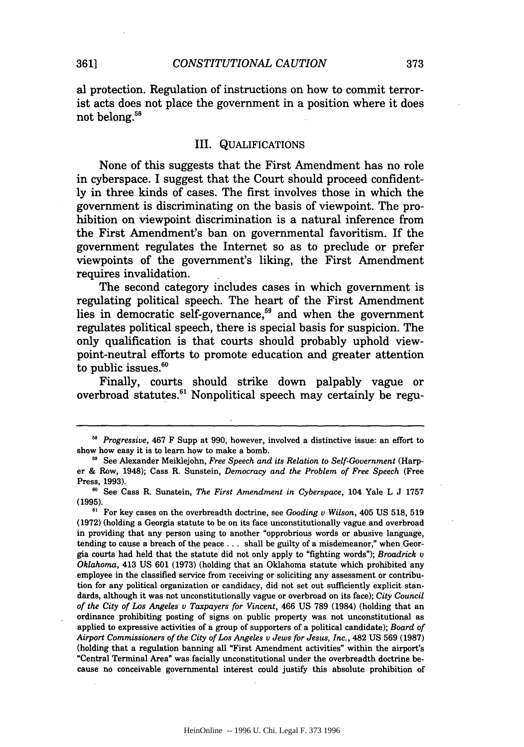al protection. Regulation of instructions on how to commit terrorist acts does not place the government in a position where it does not belong.<sup>58</sup>

#### III. QUALIFICATIONS

None of this suggests that the First Amendment has no role in cyberspace. I suggest that the Court should proceed confident**ly** in three kinds of cases. The first involves those in which the government is discriminating on the basis of viewpoint. The prohibition on viewpoint discrimination is a natural inference from the First Amendment's ban on governmental favoritism. If the government regulates the Internet so as to preclude or prefer viewpoints of the government's liking, the First Amendment requires invalidation.

The second category includes cases in which government is regulating political speech. The heart of the First Amendment lies in democratic self-governance,<sup>59</sup> and when the government regulates political speech, there is special basis for suspicion. The only qualification is that courts should probably uphold viewpoint-neutral efforts to promote education and greater attention to public issues.<sup>60</sup>

Finally, courts should strike down palpably vague or overbroad statutes.<sup>61</sup> Nonpolitical speech may certainly be regu-

*<sup>50</sup> Progressive,* 467 F Supp at 990, however, involved a distinctive issue: an effort to show how easy it is to learn how to make a bomb.

**<sup>&</sup>quot;9** See Alexander Meiklejohn, *Free Speech and its Relation to Self-Government* (Harper & Row, 1948); Cass R. Sunstein, *Democracy and the Problem of Free Speech* (Free Press, 1993).

o See Cass R. Sunstein, *The First Amendment in Cyberspace,* 104 Yale L J 1757 (1995).

<sup>&</sup>lt;sup>61</sup> For key cases on the overbreadth doctrine, see *Gooding v Wilson*, 405 US 518, 519 (1972) (holding a Georgia statute to be on its face unconstitutionally vague and overbroad in providing that any person using to another "opprobrious words or abusive language, tending to cause a breach of the peace.., shall be guilty of a misdemeanor," when Georgia courts had held that the statute did not only apply to "fighting words"); *Broadrick v Oklahoma,* 413 US 601 (1973) (holding that an Oklahoma statute which prohibited any employee in the classified service from receiving or soliciting any assessment or contribution for any political organization or candidacy, did not set out sufficiently explicit standards, although it was not unconstitutionally vague or overbroad on its face); *City Council of the City of Los Angeles v Taxpayers for Vincent,* 466 US 789 (1984) (holding that an ordinance prohibiting posting of signs on public property was not unconstitutional as applied to expressive activities of a group of supporters of a political candidate); *Board of Airport Commissioners of the City of Los Angeles v Jews for Jesus, Inc.,* 482 US 569 (1987) (holding that a regulation banning all 'First Amendment activities" within the airport's "Central Terminal Area" was facially unconstitutional under the overbreadth doctrine because no conceivable governmental interest could justify this absolute prohibition of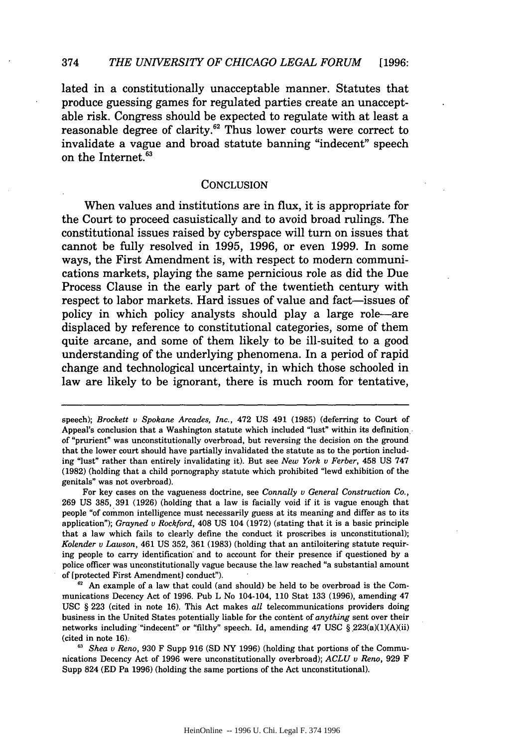lated in a constitutionally unacceptable manner. Statutes that produce guessing games for regulated parties create an unacceptable risk. Congress should be expected to regulate with at least a reasonable degree of clarity.<sup>62</sup> Thus lower courts were correct to invalidate a vague and broad statute banning "indecent" speech on the Internet.<sup>63</sup>

#### **CONCLUSION**

When values and institutions are in flux, it is appropriate for the Court to proceed casuistically and to avoid broad rulings. The constitutional issues raised **by** cyberspace will turn on issues that cannot be fully resolved in **1995, 1996,** or even **1999.** In some ways, the First Amendment is, with respect to modern communications markets, playing the same pernicious role as did the Due Process Clause in the early part of the twentieth century with respect to labor markets. Hard issues of value and fact-issues of policy in which policy analysts should play a large role-are displaced **by** reference to constitutional categories, some of them quite arcane, and some of them likely to be ill-suited to a good understanding of the underlying phenomena. In a period of rapid change and technological uncertainty, in which those schooled in law are likely to be ignorant, there is much room for tentative,

<sup>62</sup> An example of a law that could (and should) be held to be overbroad is the Communications Decency Act of 1996. Pub L No 104-104, 110 Stat 133 (1996), amending 47 USC § 223 (cited in note 16). This Act makes *all* telecommunications providers doing business in the United States potentially liable for the content of *anything* sent over their networks including "indecent" or "filthy" speech. Id, amending 47 USC  $\S 223(a)(1)(A)(ii)$ (cited in note 16):

<sup>63</sup> Shea v Reno, 930 F Supp 916 (SD NY 1996) (holding that portions of the Communications Decency Act of 1996 were unconstitutionally overbroad); *ACLU v Reno,* 929 F Supp 824 (ED Pa 1996) (holding the same portions of the Act unconstitutional).

speech); Brockett *v Spokane Arcades, Inc.,* 472 US 491 (1985) (deferring to Court of Appeal's conclusion that a Washington statute which included "lust" within its definition of "prurient" was unconstitutionally overbroad, but reversing the decision on the ground that the lower court should have partially invalidated the statute as to the portion including "lust" rather than entirely invalidating it). But see *New York v Ferber,* 458 US 747 (1982) (holding that a child pornography statute which prohibited "lewd exhibition of the genitals" was not overbroad).

For key cases on the vagueness doctrine, see *Connally v General Construction Co.,* 269 US 385, 391 (1926) (holding that a law is facially void if it is vague enough that people *"of* common intelligence must necessarily guess at its meaning and differ as to its application"); *Grayned v Rockford,* 408 US 104 (1972) (stating that it is a basic principle that a law which fails to clearly define the conduct it proscribes is unconstitutional); *Kolender v Lawson,* 461 US 352, 361 (1983) (holding that an antiloitering statute requiring people to carry identification" and to account for their presence if questioned by a police officer was unconstitutionally vague because the. law reached "a substantial amount of [protected First Amendment] conduct").